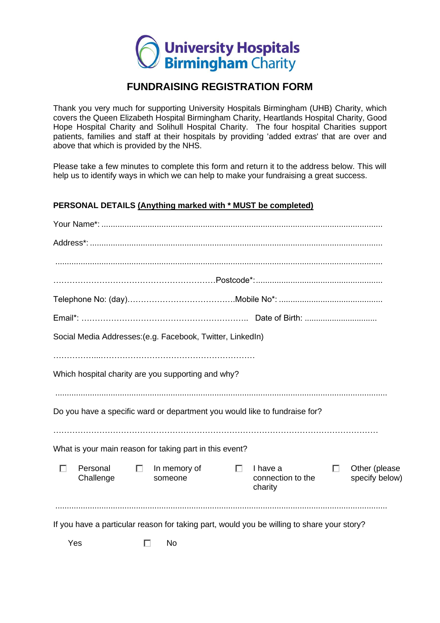

# **FUNDRAISING REGISTRATION FORM**

Thank you very much for supporting University Hospitals Birmingham (UHB) Charity, which covers the Queen Elizabeth Hospital Birmingham Charity, Heartlands Hospital Charity, Good Hope Hospital Charity and Solihull Hospital Charity. The four hospital Charities support patients, families and staff at their hospitals by providing 'added extras' that are over and above that which is provided by the NHS.

Please take a few minutes to complete this form and return it to the address below. This will help us to identify ways in which we can help to make your fundraising a great success.

## **PERSONAL DETAILS (Anything marked with \* MUST be completed)**

|   |                       |        | Social Media Addresses: (e.g. Facebook, Twitter, LinkedIn) |        |                                                                                            |        |                                 |
|---|-----------------------|--------|------------------------------------------------------------|--------|--------------------------------------------------------------------------------------------|--------|---------------------------------|
|   |                       |        |                                                            |        |                                                                                            |        |                                 |
|   |                       |        | Which hospital charity are you supporting and why?         |        |                                                                                            |        |                                 |
|   |                       |        |                                                            |        |                                                                                            |        |                                 |
|   |                       |        |                                                            |        | Do you have a specific ward or department you would like to fundraise for?                 |        |                                 |
|   |                       |        |                                                            |        |                                                                                            |        |                                 |
|   |                       |        | What is your main reason for taking part in this event?    |        |                                                                                            |        |                                 |
| п | Personal<br>Challenge | $\Box$ | In memory of<br>someone                                    | $\Box$ | I have a<br>connection to the<br>charity                                                   | $\Box$ | Other (please<br>specify below) |
|   |                       |        |                                                            |        | If you have a particular reason for taking part, would you be willing to share your story? |        |                                 |
|   | Yes                   |        | No                                                         |        |                                                                                            |        |                                 |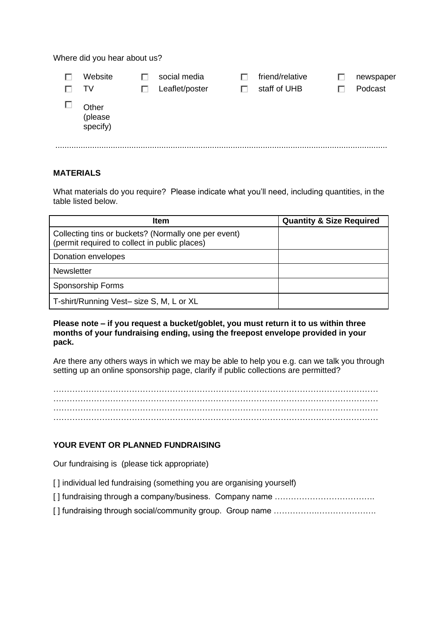Where did you hear about us?

| Website<br>TV                | social media<br>Leaflet/poster | friend/relative<br>staff of UHB | newspaper<br>Podcast |
|------------------------------|--------------------------------|---------------------------------|----------------------|
| Other<br>(please<br>specify) |                                |                                 |                      |

## **MATERIALS**

What materials do you require? Please indicate what you'll need, including quantities, in the table listed below.

| <b>Item</b>                                                                                           | <b>Quantity &amp; Size Required</b> |
|-------------------------------------------------------------------------------------------------------|-------------------------------------|
| Collecting tins or buckets? (Normally one per event)<br>(permit required to collect in public places) |                                     |
| Donation envelopes                                                                                    |                                     |
| <b>Newsletter</b>                                                                                     |                                     |
| Sponsorship Forms                                                                                     |                                     |
| T-shirt/Running Vest- size S, M, L or XL                                                              |                                     |

#### **Please note – if you request a bucket/goblet, you must return it to us within three months of your fundraising ending, using the freepost envelope provided in your pack.**

Are there any others ways in which we may be able to help you e.g. can we talk you through setting up an online sponsorship page, clarify if public collections are permitted?

………………………………………………………………………………………………………… ………………………………………………………………………………………………………… ………………………………………………………………………………………………………… …………………………………………………………………………………………………………

## **YOUR EVENT OR PLANNED FUNDRAISING**

Our fundraising is (please tick appropriate)

[] individual led fundraising (something you are organising yourself)

[ ] fundraising through a company/business. Company name ……………………………….

[ ] fundraising through social/community group. Group name …………….………………….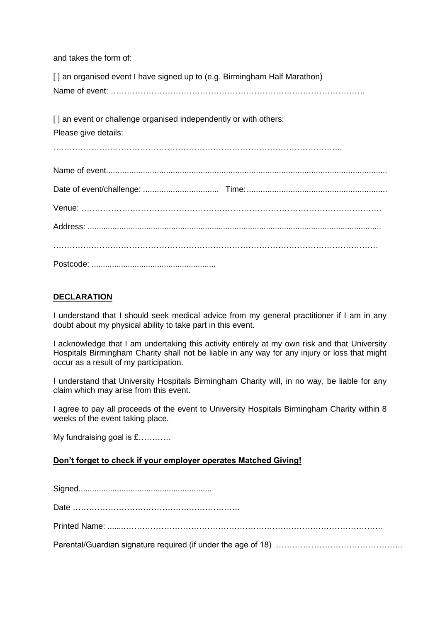and takes the form of:

[] an organised event I have signed up to (e.g. Birmingham Half Marathon) Name of event: ………………………………………………………………………………….

[] an event or challenge organised independently or with others: Please give details: …………………………………………………………………………………………….. Name of event.......................................................................................................................... Date of event/challenge: ................................. Time:............................................................. Venue: ………………………………………………………………………………………………… Address: .................................................................................................................................. ………………………………………………………………………………………………………… Postcode: .......................................................

## **DECLARATION**

I understand that I should seek medical advice from my general practitioner if I am in any doubt about my physical ability to take part in this event.

I acknowledge that I am undertaking this activity entirely at my own risk and that University Hospitals Birmingham Charity shall not be liable in any way for any injury or loss that might occur as a result of my participation.

I understand that University Hospitals Birmingham Charity will, in no way, be liable for any claim which may arise from this event.

I agree to pay all proceeds of the event to University Hospitals Birmingham Charity within 8 weeks of the event taking place.

My fundraising goal is £…………

## **Don't forget to check if your employer operates Matched Giving!**